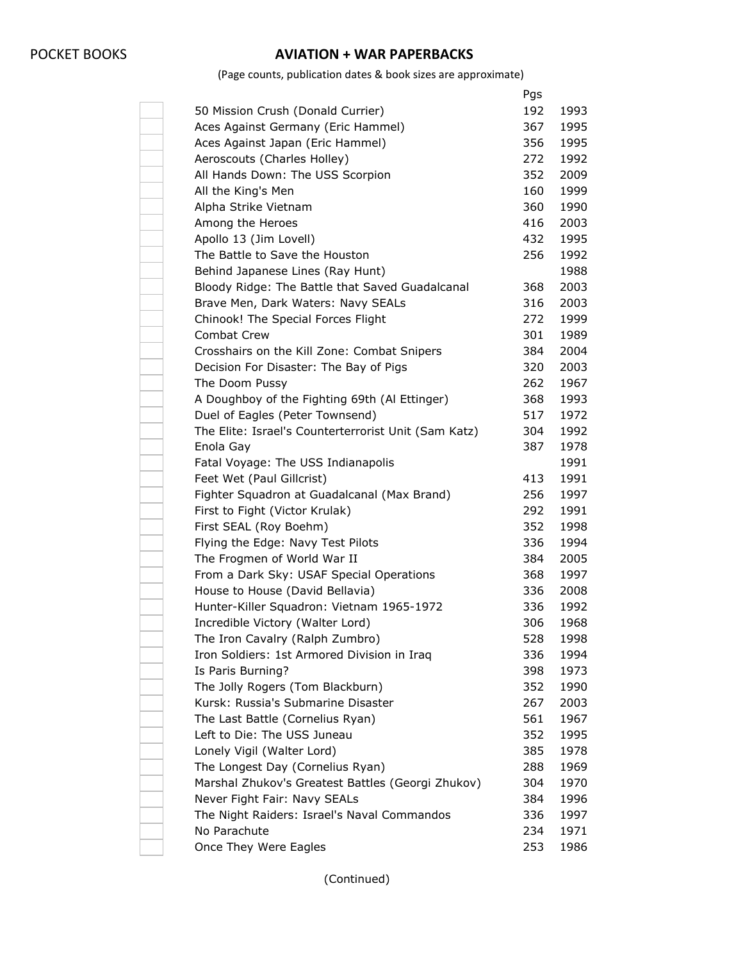## POCKET BOOKS **AVIATION + WAR PAPERBACKS**

(Page counts, publication dates & book sizes are approximate)

|                                                      | Pgs |      |
|------------------------------------------------------|-----|------|
| 50 Mission Crush (Donald Currier)                    | 192 | 1993 |
| Aces Against Germany (Eric Hammel)                   | 367 | 1995 |
| Aces Against Japan (Eric Hammel)                     | 356 | 1995 |
| Aeroscouts (Charles Holley)                          | 272 | 1992 |
| All Hands Down: The USS Scorpion                     | 352 | 2009 |
| All the King's Men                                   | 160 | 1999 |
| Alpha Strike Vietnam                                 | 360 | 1990 |
| Among the Heroes                                     | 416 | 2003 |
| Apollo 13 (Jim Lovell)                               | 432 | 1995 |
| The Battle to Save the Houston                       | 256 | 1992 |
| Behind Japanese Lines (Ray Hunt)                     |     | 1988 |
| Bloody Ridge: The Battle that Saved Guadalcanal      | 368 | 2003 |
| Brave Men, Dark Waters: Navy SEALs                   | 316 | 2003 |
| Chinook! The Special Forces Flight                   | 272 | 1999 |
| <b>Combat Crew</b>                                   | 301 | 1989 |
| Crosshairs on the Kill Zone: Combat Snipers          | 384 | 2004 |
| Decision For Disaster: The Bay of Pigs               | 320 | 2003 |
| The Doom Pussy                                       | 262 | 1967 |
| A Doughboy of the Fighting 69th (Al Ettinger)        | 368 | 1993 |
| Duel of Eagles (Peter Townsend)                      | 517 | 1972 |
| The Elite: Israel's Counterterrorist Unit (Sam Katz) | 304 | 1992 |
| Enola Gay                                            | 387 | 1978 |
| Fatal Voyage: The USS Indianapolis                   |     | 1991 |
| Feet Wet (Paul Gillcrist)                            | 413 | 1991 |
| Fighter Squadron at Guadalcanal (Max Brand)          | 256 | 1997 |
| First to Fight (Victor Krulak)                       | 292 | 1991 |
| First SEAL (Roy Boehm)                               | 352 | 1998 |
| Flying the Edge: Navy Test Pilots                    | 336 | 1994 |
| The Frogmen of World War II                          | 384 | 2005 |
| From a Dark Sky: USAF Special Operations             | 368 | 1997 |
| House to House (David Bellavia)                      | 336 | 2008 |
| Hunter-Killer Squadron: Vietnam 1965-1972            | 336 | 1992 |
| Incredible Victory (Walter Lord)                     | 306 | 1968 |
| The Iron Cavalry (Ralph Zumbro)                      | 528 | 1998 |
| Iron Soldiers: 1st Armored Division in Iraq          | 336 | 1994 |
| Is Paris Burning?                                    | 398 | 1973 |
| The Jolly Rogers (Tom Blackburn)                     | 352 | 1990 |
| Kursk: Russia's Submarine Disaster                   | 267 | 2003 |
| The Last Battle (Cornelius Ryan)                     | 561 | 1967 |
| Left to Die: The USS Juneau                          | 352 | 1995 |
| Lonely Vigil (Walter Lord)                           | 385 | 1978 |
| The Longest Day (Cornelius Ryan)                     | 288 | 1969 |
| Marshal Zhukov's Greatest Battles (Georgi Zhukov)    | 304 | 1970 |
| Never Fight Fair: Navy SEALs                         | 384 | 1996 |
| The Night Raiders: Israel's Naval Commandos          | 336 | 1997 |
| No Parachute                                         | 234 | 1971 |
| Once They Were Eagles                                | 253 | 1986 |
|                                                      |     |      |

(Continued)